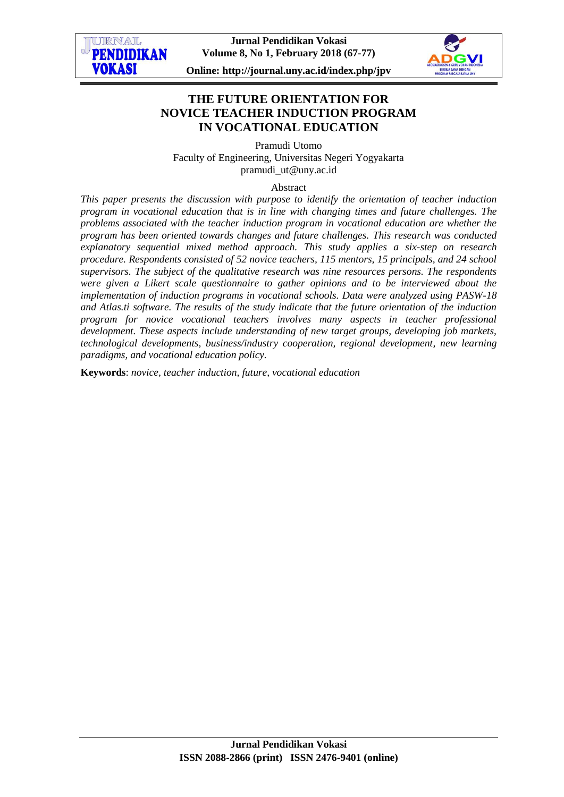

**Online: http://journal.uny.ac.id/index.php/jpv**

## **THE FUTURE ORIENTATION FOR NOVICE TEACHER INDUCTION PROGRAM IN VOCATIONAL EDUCATION**

Pramudi Utomo Faculty of Engineering, Universitas Negeri Yogyakarta [pramudi\\_ut@uny.ac.id](mailto:pramudi_ut@uny.ac.id)

#### Abstract

*This paper presents the discussion with purpose to identify the orientation of teacher induction program in vocational education that is in line with changing times and future challenges. The problems associated with the teacher induction program in vocational education are whether the program has been oriented towards changes and future challenges. This research was conducted explanatory sequential mixed method approach. This study applies a six-step on research procedure. Respondents consisted of 52 novice teachers, 115 mentors, 15 principals, and 24 school supervisors. The subject of the qualitative research was nine resources persons. The respondents were given a Likert scale questionnaire to gather opinions and to be interviewed about the implementation of induction programs in vocational schools. Data were analyzed using PASW-18 and Atlas.ti software. The results of the study indicate that the future orientation of the induction program for novice vocational teachers involves many aspects in teacher professional development. These aspects include understanding of new target groups, developing job markets, technological developments, business/industry cooperation, regional development, new learning paradigms, and vocational education policy.*

**Keywords**: *novice, teacher induction, future, vocational education*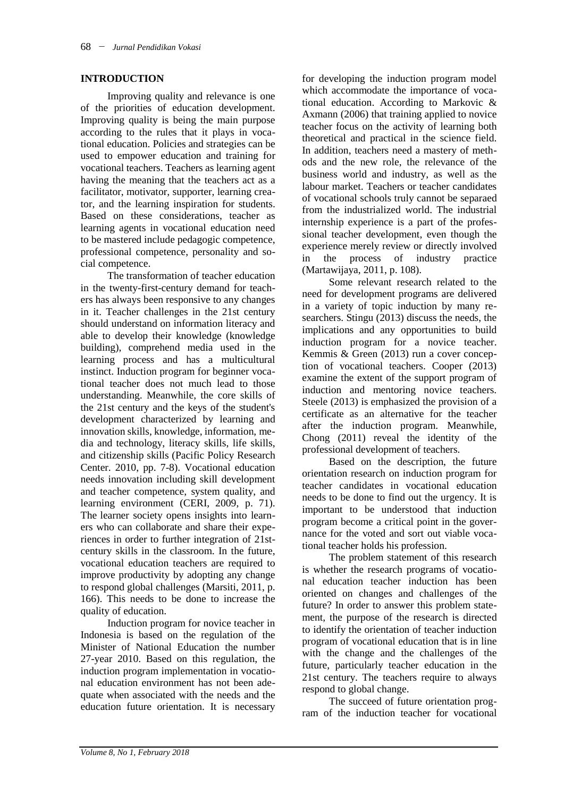#### **INTRODUCTION**

Improving quality and relevance is one of the priorities of education development. Improving quality is being the main purpose according to the rules that it plays in vocational education. Policies and strategies can be used to empower education and training for vocational teachers. Teachers as learning agent having the meaning that the teachers act as a facilitator, motivator, supporter, learning creator, and the learning inspiration for students. Based on these considerations, teacher as learning agents in vocational education need to be mastered include pedagogic competence, professional competence, personality and social competence.

The transformation of teacher education in the twenty-first-century demand for teachers has always been responsive to any changes in it. Teacher challenges in the 21st century should understand on information literacy and able to develop their knowledge (knowledge building), comprehend media used in the learning process and has a multicultural instinct. Induction program for beginner vocational teacher does not much lead to those understanding. Meanwhile, the core skills of the 21st century and the keys of the student's development characterized by learning and innovation skills, knowledge, information, media and technology, literacy skills, life skills, and citizenship skills (Pacific Policy Research Center. 2010, pp. 7-8). Vocational education needs innovation including skill development and teacher competence, system quality, and learning environment (CERI, 2009, p. 71). The learner society opens insights into learners who can collaborate and share their experiences in order to further integration of 21stcentury skills in the classroom. In the future, vocational education teachers are required to improve productivity by adopting any change to respond global challenges (Marsiti, 2011, p. 166). This needs to be done to increase the quality of education.

Induction program for novice teacher in Indonesia is based on the regulation of the Minister of National Education the number 27-year 2010. Based on this regulation, the induction program implementation in vocational education environment has not been adequate when associated with the needs and the education future orientation. It is necessary

for developing the induction program model which accommodate the importance of vocational education. According to Markovic & Axmann (2006) that training applied to novice teacher focus on the activity of learning both theoretical and practical in the science field. In addition, teachers need a mastery of methods and the new role, the relevance of the business world and industry, as well as the labour market. Teachers or teacher candidates of vocational schools truly cannot be separaed from the industrialized world. The industrial internship experience is a part of the professional teacher development, even though the experience merely review or directly involved in the process of industry practice (Martawijaya, 2011, p. 108).

Some relevant research related to the need for development programs are delivered in a variety of topic induction by many researchers. Stingu (2013) discuss the needs, the implications and any opportunities to build induction program for a novice teacher. Kemmis & Green (2013) run a cover conception of vocational teachers. Cooper (2013) examine the extent of the support program of induction and mentoring novice teachers. Steele (2013) is emphasized the provision of a certificate as an alternative for the teacher after the induction program. Meanwhile, Chong (2011) reveal the identity of the professional development of teachers.

Based on the description, the future orientation research on induction program for teacher candidates in vocational education needs to be done to find out the urgency. It is important to be understood that induction program become a critical point in the governance for the voted and sort out viable vocational teacher holds his profession.

The problem statement of this research is whether the research programs of vocational education teacher induction has been oriented on changes and challenges of the future? In order to answer this problem statement, the purpose of the research is directed to identify the orientation of teacher induction program of vocational education that is in line with the change and the challenges of the future, particularly teacher education in the 21st century. The teachers require to always respond to global change.

The succeed of future orientation program of the induction teacher for vocational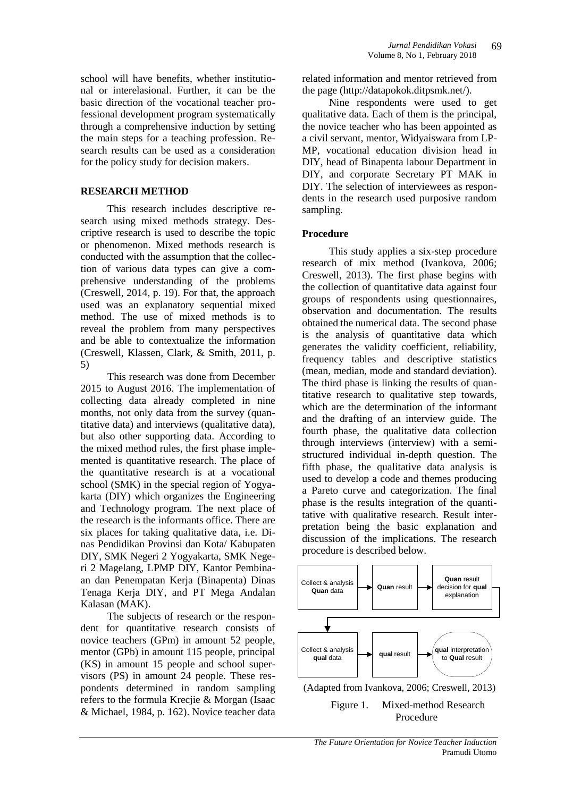**RESEARCH METHOD**

This research includes descriptive research using mixed methods strategy. Descriptive research is used to describe the topic or phenomenon. Mixed methods research is conducted with the assumption that the collection of various data types can give a comprehensive understanding of the problems (Creswell, 2014, p. 19). For that, the approach used was an explanatory sequential mixed method. The use of mixed methods is to reveal the problem from many perspectives and be able to contextualize the information (Creswell, Klassen, Clark, & Smith, 2011, p. 5)

search results can be used as a consideration for the policy study for decision makers.

This research was done from December 2015 to August 2016. The implementation of collecting data already completed in nine months, not only data from the survey (quantitative data) and interviews (qualitative data), but also other supporting data. According to the mixed method rules, the first phase implemented is quantitative research. The place of the quantitative research is at a vocational school (SMK) in the special region of Yogyakarta (DIY) which organizes the Engineering and Technology program. The next place of the research is the informants office. There are six places for taking qualitative data, i.e. Dinas Pendidikan Provinsi dan Kota/ Kabupaten DIY, SMK Negeri 2 Yogyakarta, SMK Negeri 2 Magelang, LPMP DIY, Kantor Pembinaan dan Penempatan Kerja (Binapenta) Dinas Tenaga Kerja DIY, and PT Mega Andalan Kalasan (MAK).

The subjects of research or the respondent for quantitative research consists of novice teachers (GPm) in amount 52 people, mentor (GPb) in amount 115 people, principal (KS) in amount 15 people and school supervisors (PS) in amount 24 people. These respondents determined in random sampling refers to the formula Krecjie & Morgan (Isaac & Michael, 1984, p. 162). Novice teacher data related information and mentor retrieved from the page (http://datapokok.ditpsmk.net/).

Nine respondents were used to get qualitative data. Each of them is the principal, the novice teacher who has been appointed as a civil servant, mentor, Widyaiswara from LP-MP, vocational education division head in DIY, head of Binapenta labour Department in DIY, and corporate Secretary PT MAK in DIY. The selection of interviewees as respondents in the research used purposive random sampling.

#### **Procedure**

This study applies a six-step procedure research of mix method (Ivankova, 2006; Creswell, 2013). The first phase begins with the collection of quantitative data against four groups of respondents using questionnaires, observation and documentation. The results obtained the numerical data. The second phase is the analysis of quantitative data which generates the validity coefficient, reliability, frequency tables and descriptive statistics (mean, median, mode and standard deviation). The third phase is linking the results of quantitative research to qualitative step towards, which are the determination of the informant and the drafting of an interview guide. The fourth phase, the qualitative data collection through interviews (interview) with a semistructured individual in-depth question. The fifth phase, the qualitative data analysis is used to develop a code and themes producing a Pareto curve and categorization. The final phase is the results integration of the quantitative with qualitative research. Result interpretation being the basic explanation and discussion of the implications. The research procedure is described below.

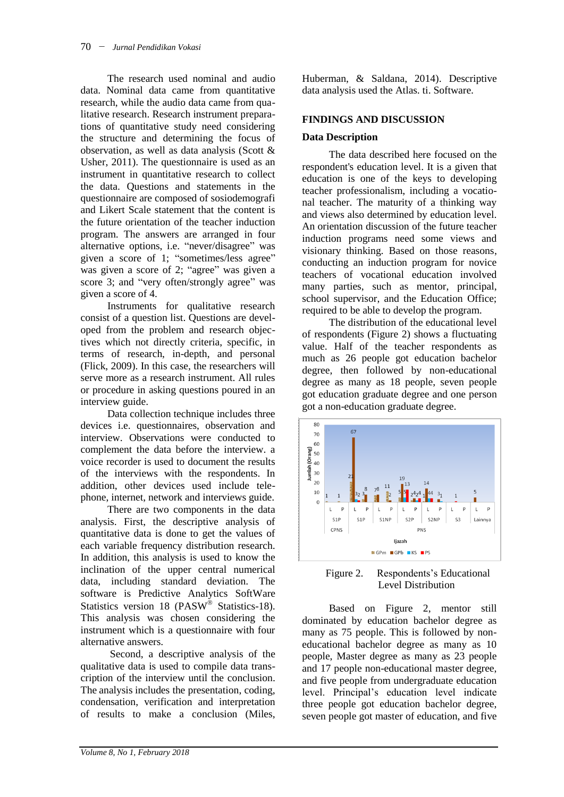The research used nominal and audio data. Nominal data came from quantitative research, while the audio data came from qualitative research. Research instrument preparations of quantitative study need considering the structure and determining the focus of observation, as well as data analysis (Scott & Usher, 2011). The questionnaire is used as an instrument in quantitative research to collect the data. Questions and statements in the questionnaire are composed of sosiodemografi and Likert Scale statement that the content is the future orientation of the teacher induction program. The answers are arranged in four alternative options, i.e. "never/disagree" was given a score of 1; "sometimes/less agree" was given a score of 2; "agree" was given a score 3; and "very often/strongly agree" was given a score of 4.

Instruments for qualitative research consist of a question list. Questions are developed from the problem and research objectives which not directly criteria, specific, in terms of research, in-depth, and personal (Flick, 2009). In this case, the researchers will serve more as a research instrument. All rules or procedure in asking questions poured in an interview guide.

Data collection technique includes three devices i.e. questionnaires, observation and interview. Observations were conducted to complement the data before the interview. a voice recorder is used to document the results of the interviews with the respondents. In addition, other devices used include telephone, internet, network and interviews guide.

There are two components in the data analysis. First, the descriptive analysis of quantitative data is done to get the values of each variable frequency distribution research. In addition, this analysis is used to know the inclination of the upper central numerical data, including standard deviation. The software is Predictive Analytics SoftWare Statistics version 18 (PASW® Statistics-18). This analysis was chosen considering the instrument which is a questionnaire with four alternative answers.

Second, a descriptive analysis of the qualitative data is used to compile data transcription of the interview until the conclusion. The analysis includes the presentation, coding, condensation, verification and interpretation of results to make a conclusion (Miles,

Huberman, & Saldana, 2014). Descriptive data analysis used the Atlas. ti. Software.

### **FINDINGS AND DISCUSSION**

## **Data Description**

The data described here focused on the respondent's education level. It is a given that education is one of the keys to developing teacher professionalism, including a vocational teacher. The maturity of a thinking way and views also determined by education level. An orientation discussion of the future teacher induction programs need some views and visionary thinking. Based on those reasons, conducting an induction program for novice teachers of vocational education involved many parties, such as mentor, principal, school supervisor, and the Education Office; required to be able to develop the program.

The distribution of the educational level of respondents (Figure 2) shows a fluctuating value. Half of the teacher respondents as much as 26 people got education bachelor degree, then followed by non-educational degree as many as 18 people, seven people got education graduate degree and one person got a non-education graduate degree.



Figure 2. Respondents's Educational Level Distribution

Based on Figure 2, mentor still dominated by education bachelor degree as many as 75 people. This is followed by noneducational bachelor degree as many as 10 people, Master degree as many as 23 people and 17 people non-educational master degree, and five people from undergraduate education level. Principal's education level indicate three people got education bachelor degree, seven people got master of education, and five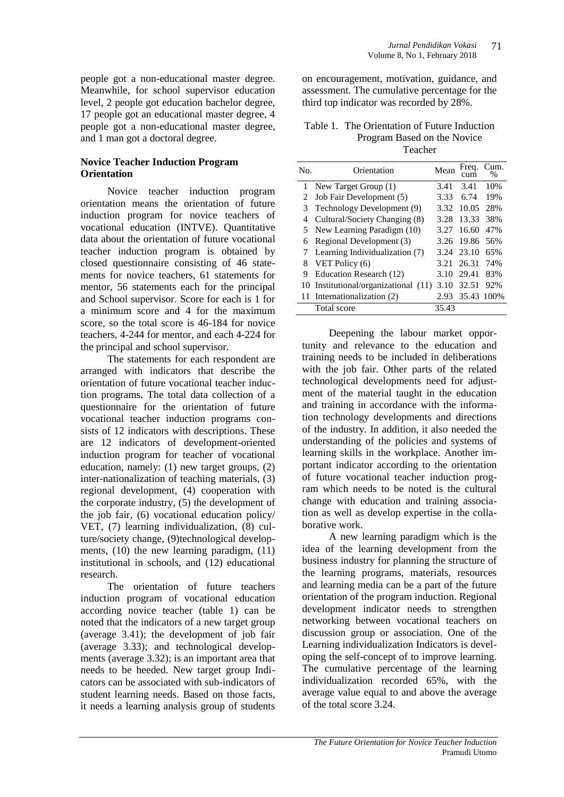people got a non-educational master degree. Meanwhile, for school supervisor education level, 2 people got education bachelor degree, 17 people got an educational master degree, 4 people got a non-educational master degree, and 1 man got a doctoral degree.

## **Novice Teacher Induction Program Orientation**

Novice teacher induction program orientation means the orientation of future induction program for novice teachers of vocational education (INTVE). Quantitative data about the orientation of future vocational teacher induction program is obtained by closed questionnaire consisting of 46 statements for novice teachers, 61 statements for mentor, 56 statements each for the principal and School supervisor. Score for each is 1 for a minimum score and 4 for the maximum score, so the total score is 46-184 for novice teachers, 4-244 for mentor, and each 4-224 for the principal and school supervisor.

The statements for each respondent are arranged with indicators that describe the orientation of future vocational teacher induction programs. The total data collection of a questionnaire for the orientation of future vocational teacher induction programs consists of 12 indicators with descriptions. These are 12 indicators of development-oriented induction program for teacher of vocational education, namely: (1) new target groups, (2) inter-nationalization of teaching materials, (3) regional development, (4) cooperation with the corporate industry, (5) the development of the job fair, (6) vocational education policy/ VET, (7) learning individualization, (8) culture/society change, (9)technological developments, (10) the new learning paradigm, (11) institutional in schools, and (12) educational research.

The orientation of future teachers induction program of vocational education according novice teacher (table 1) can be noted that the indicators of a new target group (average 3.41); the development of job fair (average 3.33); and technological developments (average 3.32); is an important area that needs to be heeded. New target group Indicators can be associated with sub-indicators of student learning needs. Based on those facts, it needs a learning analysis group of students

on encouragement, motivation, guidance, and assessment. The cumulative percentage for the third top indicator was recorded by 28%.

Table 1. The Orientation of Future Induction Program Based on the Novice Teacher

| No.            | Orientation                       | Mean  | Freq. | Cum.<br>% |
|----------------|-----------------------------------|-------|-------|-----------|
| $\mathbf{1}$   | New Target Group (1)              | 3.41  | 3.41  | 10%       |
| $\mathfrak{D}$ | Job Fair Development (5)          | 3.33  | 6.74  | 19%       |
| 3              | Technology Development (9)        | 3.32  | 10.05 | 28%       |
| 4              | Cultural/Society Changing (8)     | 3.28  | 13.33 | 38%       |
| 5              | New Learning Paradigm (10)        | 3.27  | 16.60 | 47%       |
| 6              | Regional Development (3)          | 3.26  | 19.86 | 56%       |
|                | Learning Individualization (7)    | 3.24  | 23.10 | 65%       |
| 8              | VET Policy (6)                    | 3.21  | 26.31 | 74%       |
| 9              | Education Research (12)           | 3.10  | 29.41 | 83%       |
| 10             | Institutional/organizational (11) | 3.10  | 32.51 | 92%       |
| 11.            | Internationalization (2)          | 2.93  | 35.43 | 100%      |
|                | Total score                       | 35.43 |       |           |

Deepening the labour market opportunity and relevance to the education and training needs to be included in deliberations with the job fair. Other parts of the related technological developments need for adjustment of the material taught in the education and training in accordance with the information technology developments and directions of the industry. In addition, it also needed the understanding of the policies and systems of learning skills in the workplace. Another important indicator according to the orientation of future vocational teacher induction program which needs to be noted is the cultural change with education and training association as well as develop expertise in the collaborative work.

A new learning paradigm which is the idea of the learning development from the business industry for planning the structure of the learning programs, materials, resources and learning media can be a part of the future orientation of the program induction. Regional development indicator needs to strengthen networking between vocational teachers on discussion group or association. One of the Learning individualization Indicators is developing the self-concept of to improve learning. The cumulative percentage of the learning individualization recorded 65%, with the average value equal to and above the average of the total score 3.24.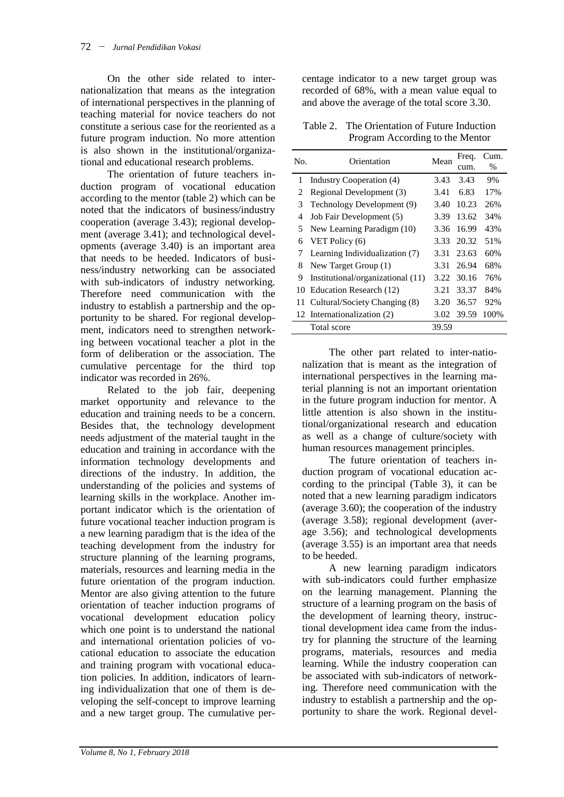On the other side related to internationalization that means as the integration of international perspectives in the planning of teaching material for novice teachers do not constitute a serious case for the reoriented as a future program induction. No more attention is also shown in the institutional/organizational and educational research problems.

The orientation of future teachers induction program of vocational education according to the mentor (table 2) which can be noted that the indicators of business/industry cooperation (average 3.43); regional development (average 3.41); and technological developments (average 3.40) is an important area that needs to be heeded. Indicators of business/industry networking can be associated with sub-indicators of industry networking. Therefore need communication with the industry to establish a partnership and the opportunity to be shared. For regional development, indicators need to strengthen networking between vocational teacher a plot in the form of deliberation or the association. The cumulative percentage for the third top indicator was recorded in 26%.

Related to the job fair, deepening market opportunity and relevance to the education and training needs to be a concern. Besides that, the technology development needs adjustment of the material taught in the education and training in accordance with the information technology developments and directions of the industry. In addition, the understanding of the policies and systems of learning skills in the workplace. Another important indicator which is the orientation of future vocational teacher induction program is a new learning paradigm that is the idea of the teaching development from the industry for structure planning of the learning programs, materials, resources and learning media in the future orientation of the program induction. Mentor are also giving attention to the future orientation of teacher induction programs of vocational development education policy which one point is to understand the national and international orientation policies of vocational education to associate the education and training program with vocational education policies. In addition, indicators of learning individualization that one of them is developing the self-concept to improve learning and a new target group. The cumulative per-

centage indicator to a new target group was recorded of 68%, with a mean value equal to and above the average of the total score 3.30.

Table 2. The Orientation of Future Induction Program According to the Mentor

| No. | Orientation                       | Mean  | Freq.<br>cum. | Cum.<br>$\%$ |
|-----|-----------------------------------|-------|---------------|--------------|
| 1   | Industry Cooperation (4)          | 3.43  | 3.43          | 9%           |
| 2   | Regional Development (3)          | 3.41  | 6.83          | 17%          |
| 3   | Technology Development (9)        | 3.40  | 10.23         | 26%          |
| 4   | Job Fair Development (5)          | 3.39  | 13.62         | 34%          |
| 5   | New Learning Paradigm (10)        | 3.36  | 16.99         | 43%          |
| 6   | VET Policy (6)                    | 3.33  | 20.32         | 51%          |
| 7   | Learning Individualization (7)    | 3.31  | 23.63         | 60%          |
| 8   | New Target Group (1)              | 3.31  | 26.94         | 68%          |
| 9   | Institutional/organizational (11) | 3.22  | 30.16         | 76%          |
| 10  | Education Research (12)           | 3.21  | 33.37         | 84%          |
| 11  | Cultural/Society Changing (8)     | 3.20  | 36.57         | 92%          |
| 12  | Internationalization (2)          | 3.02  | 39.59         | 100%         |
|     | Total score                       | 39.59 |               |              |

The other part related to inter-nationalization that is meant as the integration of international perspectives in the learning material planning is not an important orientation in the future program induction for mentor. A little attention is also shown in the institutional/organizational research and education as well as a change of culture/society with human resources management principles.

The future orientation of teachers induction program of vocational education according to the principal (Table 3), it can be noted that a new learning paradigm indicators (average 3.60); the cooperation of the industry (average 3.58); regional development (average 3.56); and technological developments (average 3.55) is an important area that needs to be heeded.

A new learning paradigm indicators with sub-indicators could further emphasize on the learning management. Planning the structure of a learning program on the basis of the development of learning theory, instructional development idea came from the industry for planning the structure of the learning programs, materials, resources and media learning. While the industry cooperation can be associated with sub-indicators of networking. Therefore need communication with the industry to establish a partnership and the opportunity to share the work. Regional devel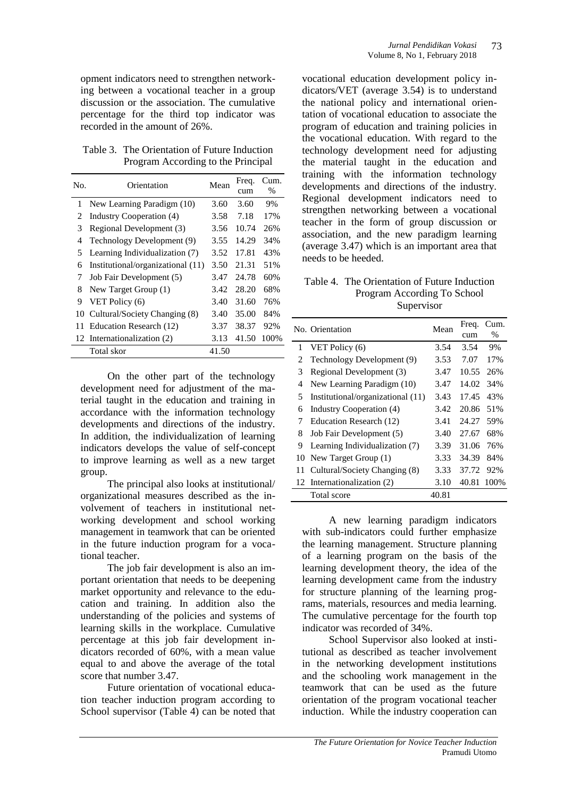opment indicators need to strengthen networking between a vocational teacher in a group discussion or the association. The cumulative percentage for the third top indicator was recorded in the amount of 26%.

Table 3. The Orientation of Future Induction Program According to the Principal

| No. | Orientation                       | Mean  | Freq.<br>cum | Cum.<br>% |
|-----|-----------------------------------|-------|--------------|-----------|
| 1   | New Learning Paradigm (10)        | 3.60  | 3.60         | 9%        |
| 2   | Industry Cooperation (4)          | 3.58  | 7.18         | 17%       |
| 3   | Regional Development (3)          | 3.56  | 10.74        | 26%       |
| 4   | Technology Development (9)        | 3.55  | 14.29        | 34%       |
| 5   | Learning Individualization (7)    | 3.52  | 17.81        | 43%       |
| 6   | Institutional/organizational (11) | 3.50  | 21.31        | 51%       |
| 7   | Job Fair Development (5)          | 3.47  | 24.78        | 60%       |
| 8   | New Target Group (1)              | 3.42  | 28.20        | 68%       |
| 9   | VET Policy (6)                    | 3.40  | 31.60        | 76%       |
| 10  | Cultural/Society Changing (8)     | 3.40  | 35.00        | 84%       |
| 11  | Education Research (12)           | 3.37  | 38.37        | 92%       |
| 12  | Internationalization (2)          | 3.13  | 41.50        | 100%      |
|     | Total skor                        | 41.50 |              |           |

On the other part of the technology development need for adjustment of the material taught in the education and training in accordance with the information technology developments and directions of the industry. In addition, the individualization of learning indicators develops the value of self-concept to improve learning as well as a new target group.

The principal also looks at institutional/ organizational measures described as the involvement of teachers in institutional networking development and school working management in teamwork that can be oriented in the future induction program for a vocational teacher.

The job fair development is also an important orientation that needs to be deepening market opportunity and relevance to the education and training. In addition also the understanding of the policies and systems of learning skills in the workplace. Cumulative percentage at this job fair development indicators recorded of 60%, with a mean value equal to and above the average of the total score that number  $3,47$ .

Future orientation of vocational education teacher induction program according to School supervisor (Table 4) can be noted that

vocational education development policy indicators/VET (average 3.54) is to understand the national policy and international orientation of vocational education to associate the program of education and training policies in the vocational education. With regard to the technology development need for adjusting the material taught in the education and training with the information technology developments and directions of the industry. Regional development indicators need to strengthen networking between a vocational teacher in the form of group discussion or association, and the new paradigm learning (average 3.47) which is an important area that needs to be heeded.

#### Table 4. The Orientation of Future Induction Program According To School Supervisor

|    | No. Orientation                   | Mean  | Freq.<br>cum | Cum.<br>$\%$ |
|----|-----------------------------------|-------|--------------|--------------|
| 1  | VET Policy (6)                    | 3.54  | 3.54         | 9%           |
| 2  | Technology Development (9)        | 3.53  | 7.07         | 17%          |
| 3  | Regional Development (3)          | 3.47  | 10.55        | 26%          |
| 4  | New Learning Paradigm (10)        | 3.47  | 14.02        | 34%          |
| 5  | Institutional/organizational (11) | 3.43  | 17.45        | 43%          |
| 6  | Industry Cooperation (4)          | 3.42  | 20.86        | 51%          |
| 7  | Education Research (12)           | 3.41  | 24.27        | 59%          |
| 8  | Job Fair Development (5)          | 3.40  | 27.67        | 68%          |
| 9  | Learning Individualization (7)    | 3.39  | 31.06        | 76%          |
| 10 | New Target Group (1)              | 3.33  | 34.39        | 84%          |
| 11 | Cultural/Society Changing (8)     | 3.33  | 37.72        | 92%          |
| 12 | Internationalization (2)          | 3.10  | 40.81        | 100%         |
|    | Total score                       | 40.81 |              |              |

A new learning paradigm indicators with sub-indicators could further emphasize the learning management. Structure planning of a learning program on the basis of the learning development theory, the idea of the learning development came from the industry for structure planning of the learning programs, materials, resources and media learning. The cumulative percentage for the fourth top indicator was recorded of 34%.

School Supervisor also looked at institutional as described as teacher involvement in the networking development institutions and the schooling work management in the teamwork that can be used as the future orientation of the program vocational teacher induction. While the industry cooperation can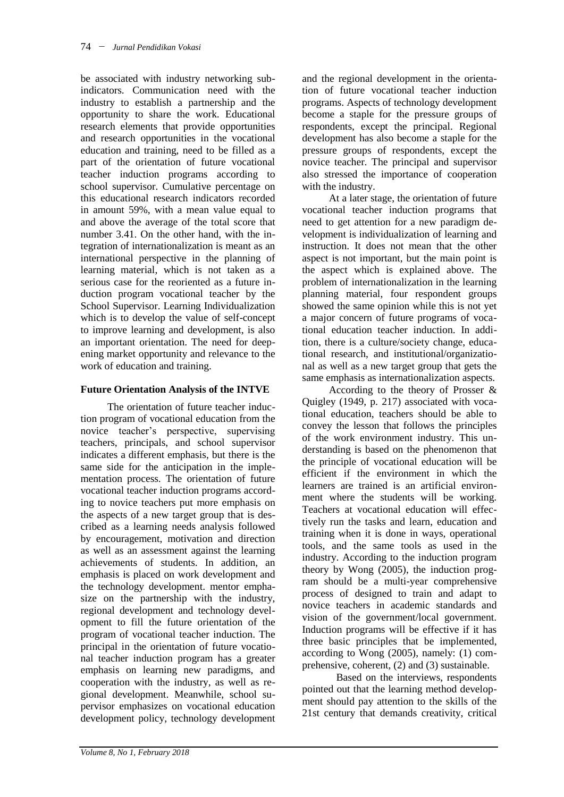be associated with industry networking subindicators. Communication need with the industry to establish a partnership and the opportunity to share the work. Educational research elements that provide opportunities and research opportunities in the vocational education and training, need to be filled as a part of the orientation of future vocational teacher induction programs according to school supervisor. Cumulative percentage on this educational research indicators recorded in amount 59%, with a mean value equal to and above the average of the total score that number 3.41. On the other hand, with the integration of internationalization is meant as an international perspective in the planning of learning material, which is not taken as a serious case for the reoriented as a future induction program vocational teacher by the School Supervisor. Learning Individualization which is to develop the value of self-concept to improve learning and development, is also an important orientation. The need for deepening market opportunity and relevance to the work of education and training.

## **Future Orientation Analysis of the INTVE**

The orientation of future teacher induction program of vocational education from the novice teacher's perspective, supervising teachers, principals, and school supervisor indicates a different emphasis, but there is the same side for the anticipation in the implementation process. The orientation of future vocational teacher induction programs according to novice teachers put more emphasis on the aspects of a new target group that is described as a learning needs analysis followed by encouragement, motivation and direction as well as an assessment against the learning achievements of students. In addition, an emphasis is placed on work development and the technology development. mentor emphasize on the partnership with the industry, regional development and technology development to fill the future orientation of the program of vocational teacher induction. The principal in the orientation of future vocational teacher induction program has a greater emphasis on learning new paradigms, and cooperation with the industry, as well as regional development. Meanwhile, school supervisor emphasizes on vocational education development policy, technology development and the regional development in the orientation of future vocational teacher induction programs. Aspects of technology development become a staple for the pressure groups of respondents, except the principal. Regional development has also become a staple for the pressure groups of respondents, except the novice teacher. The principal and supervisor also stressed the importance of cooperation with the industry.

At a later stage, the orientation of future vocational teacher induction programs that need to get attention for a new paradigm development is individualization of learning and instruction. It does not mean that the other aspect is not important, but the main point is the aspect which is explained above. The problem of internationalization in the learning planning material, four respondent groups showed the same opinion while this is not yet a major concern of future programs of vocational education teacher induction. In addition, there is a culture/society change, educational research, and institutional/organizational as well as a new target group that gets the same emphasis as internationalization aspects.

According to the theory of Prosser & Quigley (1949, p. 217) associated with vocational education, teachers should be able to convey the lesson that follows the principles of the work environment industry. This understanding is based on the phenomenon that the principle of vocational education will be efficient if the environment in which the learners are trained is an artificial environment where the students will be working. Teachers at vocational education will effectively run the tasks and learn, education and training when it is done in ways, operational tools, and the same tools as used in the industry. According to the induction program theory by Wong (2005), the induction program should be a multi-year comprehensive process of designed to train and adapt to novice teachers in academic standards and vision of the government/local government. Induction programs will be effective if it has three basic principles that be implemented, according to Wong (2005), namely: (1) comprehensive, coherent, (2) and (3) sustainable.

Based on the interviews, respondents pointed out that the learning method development should pay attention to the skills of the 21st century that demands creativity, critical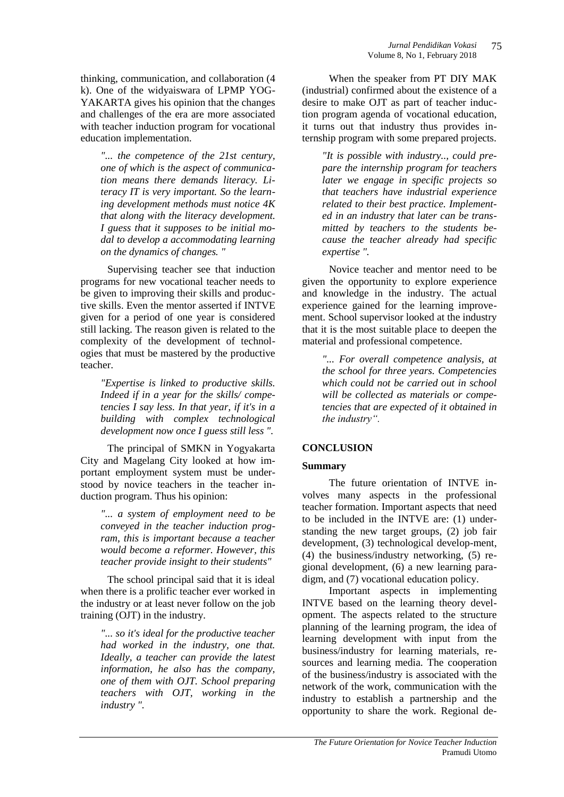thinking, communication, and collaboration (4 k). One of the widyaiswara of LPMP YOG-YAKARTA gives his opinion that the changes and challenges of the era are more associated with teacher induction program for vocational education implementation.

*"... the competence of the 21st century, one of which is the aspect of communication means there demands literacy. Literacy IT is very important. So the learning development methods must notice 4K that along with the literacy development. I guess that it supposes to be initial modal to develop a accommodating learning on the dynamics of changes. "*

Supervising teacher see that induction programs for new vocational teacher needs to be given to improving their skills and productive skills. Even the mentor asserted if INTVE given for a period of one year is considered still lacking. The reason given is related to the complexity of the development of technologies that must be mastered by the productive teacher.

*"Expertise is linked to productive skills. Indeed if in a year for the skills/ competencies I say less. In that year, if it's in a building with complex technological development now once I guess still less ".*

The principal of SMKN in Yogyakarta City and Magelang City looked at how important employment system must be understood by novice teachers in the teacher induction program. Thus his opinion:

> *"... a system of employment need to be conveyed in the teacher induction program, this is important because a teacher would become a reformer. However, this teacher provide insight to their students"*

The school principal said that it is ideal when there is a prolific teacher ever worked in the industry or at least never follow on the job training (OJT) in the industry.

*"... so it's ideal for the productive teacher had worked in the industry, one that. Ideally, a teacher can provide the latest information, he also has the company, one of them with OJT. School preparing teachers with OJT, working in the industry ".*

When the speaker from PT DIY MAK (industrial) confirmed about the existence of a desire to make OJT as part of teacher induction program agenda of vocational education, it turns out that industry thus provides internship program with some prepared projects.

*"It is possible with industry.., could prepare the internship program for teachers later we engage in specific projects so that teachers have industrial experience related to their best practice. Implemented in an industry that later can be transmitted by teachers to the students because the teacher already had specific expertise ".*

Novice teacher and mentor need to be given the opportunity to explore experience and knowledge in the industry. The actual experience gained for the learning improvement. School supervisor looked at the industry that it is the most suitable place to deepen the material and professional competence.

*"... For overall competence analysis, at the school for three years. Competencies which could not be carried out in school will be collected as materials or competencies that are expected of it obtained in the industry".*

## **CONCLUSION**

#### **Summary**

The future orientation of INTVE involves many aspects in the professional teacher formation. Important aspects that need to be included in the INTVE are: (1) understanding the new target groups, (2) job fair development, (3) technological develop-ment, (4) the business/industry networking, (5) regional development, (6) a new learning paradigm, and (7) vocational education policy.

Important aspects in implementing INTVE based on the learning theory development. The aspects related to the structure planning of the learning program, the idea of learning development with input from the business/industry for learning materials, resources and learning media. The cooperation of the business/industry is associated with the network of the work, communication with the industry to establish a partnership and the opportunity to share the work. Regional de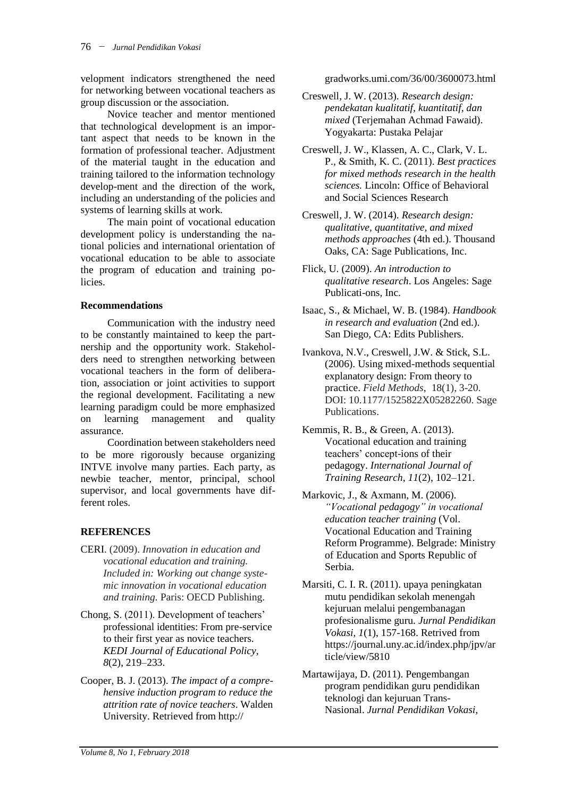velopment indicators strengthened the need for networking between vocational teachers as group discussion or the association.

Novice teacher and mentor mentioned that technological development is an important aspect that needs to be known in the formation of professional teacher. Adjustment of the material taught in the education and training tailored to the information technology develop-ment and the direction of the work, including an understanding of the policies and systems of learning skills at work.

The main point of vocational education development policy is understanding the national policies and international orientation of vocational education to be able to associate the program of education and training policies.

#### **Recommendations**

Communication with the industry need to be constantly maintained to keep the partnership and the opportunity work. Stakeholders need to strengthen networking between vocational teachers in the form of deliberation, association or joint activities to support the regional development. Facilitating a new learning paradigm could be more emphasized on learning management and quality assurance.

Coordination between stakeholders need to be more rigorously because organizing INTVE involve many parties. Each party, as newbie teacher, mentor, principal, school supervisor, and local governments have different roles.

# **REFERENCES**

- CERI. (2009). *Innovation in education and vocational education and training. Included in: Working out change systemic innovation in vocational education and training.* Paris: OECD Publishing.
- Chong, S. (2011). Development of teachers' professional identities: From pre-service to their first year as novice teachers. *KEDI Journal of Educational Policy*, *8*(2), 219–233.
- Cooper, B. J. (2013). *The impact of a comprehensive induction program to reduce the attrition rate of novice teachers*. Walden University. Retrieved from http://

gradworks.umi.com/36/00/3600073.html

- Creswell, J. W. (2013). *Research design: pendekatan kualitatif, kuantitatif, dan mixed* (Terjemahan Achmad Fawaid). Yogyakarta: Pustaka Pelajar
- Creswell, J. W., Klassen, A. C., Clark, V. L. P., & Smith, K. C. (2011). *Best practices for mixed methods research in the health sciences.* Lincoln: Office of Behavioral and Social Sciences Research
- Creswell, J. W. (2014). *Research design: qualitative, quantitative, and mixed methods approaches* (4th ed.). Thousand Oaks, CA: Sage Publications, Inc.
- Flick, U. (2009). *An introduction to qualitative research*. Los Angeles: Sage Publicati-ons, Inc.
- Isaac, S., & Michael, W. B. (1984). *Handbook in research and evaluation* (2nd ed.). San Diego, CA: Edits Publishers.
- Ivankova, N.V., Creswell, J.W. & Stick, S.L. (2006). Using mixed-methods sequential explanatory design: From theory to practice. *Field Methods*, 18(1), 3-20. DOI: 10.1177/1525822X05282260. Sage Publications.
- Kemmis, R. B., & Green, A. (2013). Vocational education and training teachers' concept-ions of their pedagogy. *International Journal of Training Research*, *11*(2), 102–121.
- Markovic, J., & Axmann, M. (2006). *"Vocational pedagogy" in vocational education teacher training* (Vol. Vocational Education and Training Reform Programme). Belgrade: Ministry of Education and Sports Republic of Serbia.
- Marsiti, C. I. R. (2011). upaya peningkatan mutu pendidikan sekolah menengah kejuruan melalui pengembanagan profesionalisme guru. *Jurnal Pendidikan Vokasi, 1*(1), 157-168. Retrived from https://journal.uny.ac.id/index.php/jpv/ar ticle/view/5810
- Martawijaya, D. (2011). Pengembangan program pendidikan guru pendidikan teknologi dan kejuruan Trans-Nasional. *Jurnal Pendidikan Vokasi,*